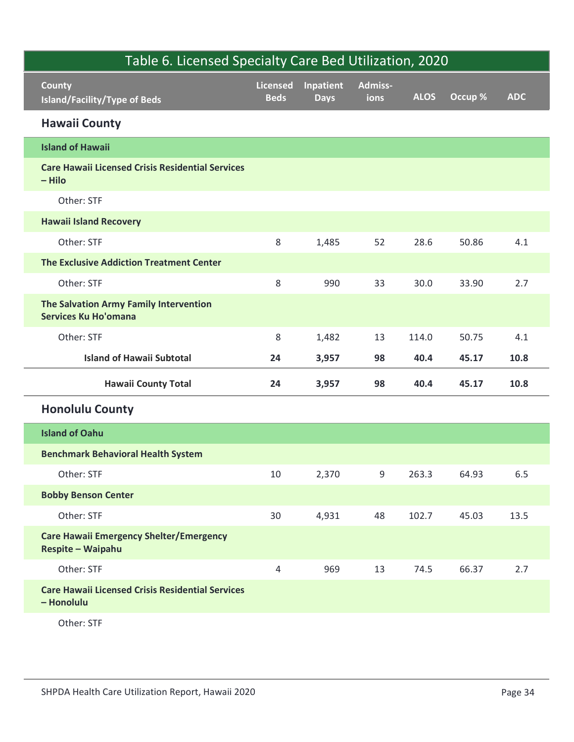| Table 6. Licensed Specialty Care Bed Utilization, 2020                |                                |                          |                 |             |         |            |
|-----------------------------------------------------------------------|--------------------------------|--------------------------|-----------------|-------------|---------|------------|
| <b>County</b><br>Island/Facility/Type of Beds                         | <b>Licensed</b><br><b>Beds</b> | Inpatient<br><b>Days</b> | Admiss-<br>ions | <b>ALOS</b> | Occup % | <b>ADC</b> |
| <b>Hawaii County</b>                                                  |                                |                          |                 |             |         |            |
| <b>Island of Hawaii</b>                                               |                                |                          |                 |             |         |            |
| <b>Care Hawaii Licensed Crisis Residential Services</b><br>$-$ Hilo   |                                |                          |                 |             |         |            |
| Other: STF                                                            |                                |                          |                 |             |         |            |
| <b>Hawaii Island Recovery</b>                                         |                                |                          |                 |             |         |            |
| Other: STF                                                            | 8                              | 1,485                    | 52              | 28.6        | 50.86   | 4.1        |
| <b>The Exclusive Addiction Treatment Center</b>                       |                                |                          |                 |             |         |            |
| Other: STF                                                            | 8                              | 990                      | 33              | 30.0        | 33.90   | 2.7        |
| The Salvation Army Family Intervention<br><b>Services Ku Ho'omana</b> |                                |                          |                 |             |         |            |
| Other: STF                                                            | 8                              | 1,482                    | 13              | 114.0       | 50.75   | 4.1        |
| <b>Island of Hawaii Subtotal</b>                                      | 24                             | 3,957                    | 98              | 40.4        | 45.17   | 10.8       |
| <b>Hawaii County Total</b>                                            | 24                             | 3,957                    | 98              | 40.4        | 45.17   | 10.8       |
| <b>Honolulu County</b>                                                |                                |                          |                 |             |         |            |
| <b>Island of Oahu</b>                                                 |                                |                          |                 |             |         |            |
| <b>Benchmark Behavioral Health System</b>                             |                                |                          |                 |             |         |            |
| Other: STF                                                            | 10                             | 2,370                    | 9               | 263.3       | 64.93   | $6.5\,$    |
| <b>Bobby Benson Center</b>                                            |                                |                          |                 |             |         |            |
| Other: STF                                                            | 30                             | 4,931                    | 48              | 102.7       | 45.03   | 13.5       |
| <b>Care Hawaii Emergency Shelter/Emergency</b><br>Respite - Waipahu   |                                |                          |                 |             |         |            |
|                                                                       |                                |                          |                 |             |         |            |
| Other: STF                                                            | 4                              | 969                      | 13              | 74.5        | 66.37   | 2.7        |
| <b>Care Hawaii Licensed Crisis Residential Services</b><br>- Honolulu |                                |                          |                 |             |         |            |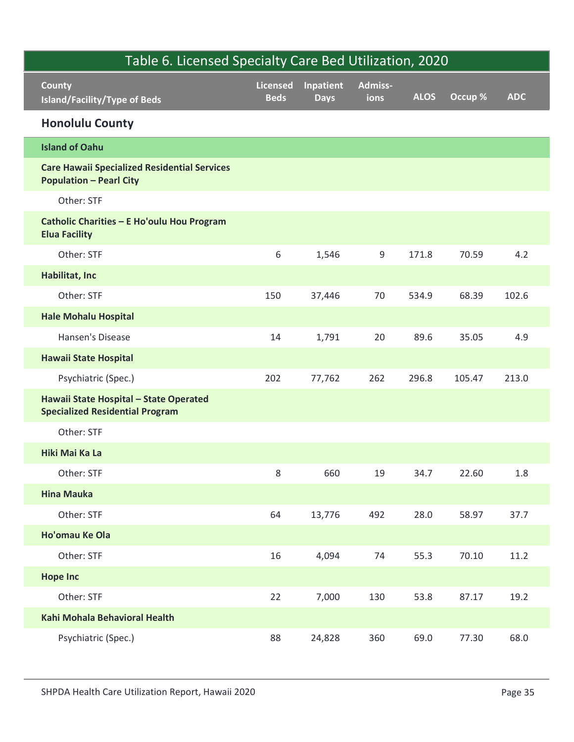| Table 6. Licensed Specialty Care Bed Utilization, 2020                                |                                |                          |                        |             |         |            |  |
|---------------------------------------------------------------------------------------|--------------------------------|--------------------------|------------------------|-------------|---------|------------|--|
| <b>County</b><br>Island/Facility/Type of Beds                                         | <b>Licensed</b><br><b>Beds</b> | Inpatient<br><b>Days</b> | <b>Admiss-</b><br>ions | <b>ALOS</b> | Occup % | <b>ADC</b> |  |
| <b>Honolulu County</b>                                                                |                                |                          |                        |             |         |            |  |
| <b>Island of Oahu</b>                                                                 |                                |                          |                        |             |         |            |  |
| <b>Care Hawaii Specialized Residential Services</b><br><b>Population - Pearl City</b> |                                |                          |                        |             |         |            |  |
| Other: STF                                                                            |                                |                          |                        |             |         |            |  |
| Catholic Charities - E Ho'oulu Hou Program<br><b>Elua Facility</b>                    |                                |                          |                        |             |         |            |  |
| Other: STF                                                                            | 6                              | 1,546                    | 9                      | 171.8       | 70.59   | 4.2        |  |
| Habilitat, Inc                                                                        |                                |                          |                        |             |         |            |  |
| Other: STF                                                                            | 150                            | 37,446                   | 70                     | 534.9       | 68.39   | 102.6      |  |
| <b>Hale Mohalu Hospital</b>                                                           |                                |                          |                        |             |         |            |  |
| Hansen's Disease                                                                      | 14                             | 1,791                    | 20                     | 89.6        | 35.05   | 4.9        |  |
| <b>Hawaii State Hospital</b>                                                          |                                |                          |                        |             |         |            |  |
| Psychiatric (Spec.)                                                                   | 202                            | 77,762                   | 262                    | 296.8       | 105.47  | 213.0      |  |
| Hawaii State Hospital - State Operated<br><b>Specialized Residential Program</b>      |                                |                          |                        |             |         |            |  |
| Other: STF                                                                            |                                |                          |                        |             |         |            |  |
| Hiki Mai Ka La                                                                        |                                |                          |                        |             |         |            |  |
| Other: STF                                                                            | 8                              | 660                      | 19                     | 34.7        | 22.60   | 1.8        |  |
| <b>Hina Mauka</b>                                                                     |                                |                          |                        |             |         |            |  |
| Other: STF                                                                            | 64                             | 13,776                   | 492                    | 28.0        | 58.97   | 37.7       |  |
| Ho'omau Ke Ola                                                                        |                                |                          |                        |             |         |            |  |
| Other: STF                                                                            | 16                             | 4,094                    | 74                     | 55.3        | 70.10   | 11.2       |  |
| <b>Hope Inc</b>                                                                       |                                |                          |                        |             |         |            |  |
| Other: STF                                                                            | 22                             | 7,000                    | 130                    | 53.8        | 87.17   | 19.2       |  |
| Kahi Mohala Behavioral Health                                                         |                                |                          |                        |             |         |            |  |
| Psychiatric (Spec.)                                                                   | 88                             | 24,828                   | 360                    | 69.0        | 77.30   | 68.0       |  |
| SHPDA Health Care Utilization Report, Hawaii 2020                                     |                                |                          |                        |             |         | Page 35    |  |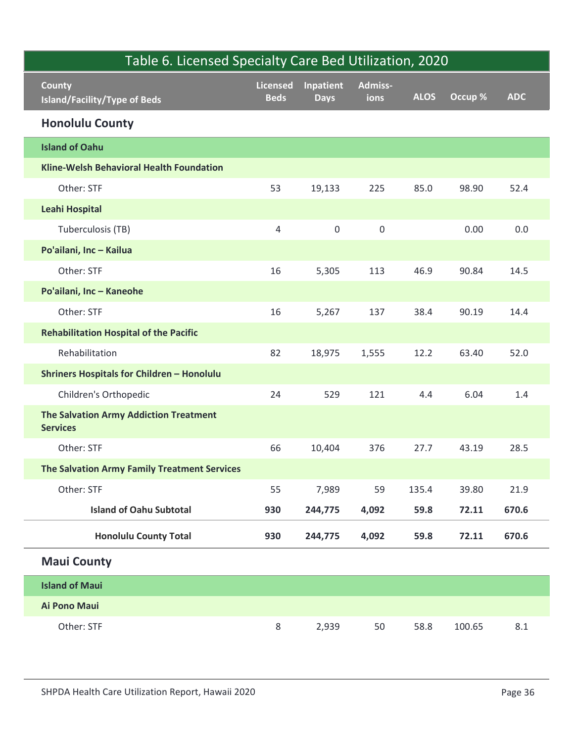| Table 6. Licensed Specialty Care Bed Utilization, 2020    |                         |                          |                 |             |         |            |  |  |  |
|-----------------------------------------------------------|-------------------------|--------------------------|-----------------|-------------|---------|------------|--|--|--|
| <b>County</b><br>Island/Facility/Type of Beds             | Licensed<br><b>Beds</b> | Inpatient<br><b>Days</b> | Admiss-<br>ions | <b>ALOS</b> | Occup % | <b>ADC</b> |  |  |  |
| <b>Honolulu County</b>                                    |                         |                          |                 |             |         |            |  |  |  |
| <b>Island of Oahu</b>                                     |                         |                          |                 |             |         |            |  |  |  |
| Kline-Welsh Behavioral Health Foundation                  |                         |                          |                 |             |         |            |  |  |  |
| Other: STF                                                | 53                      | 19,133                   | 225             | 85.0        | 98.90   | 52.4       |  |  |  |
| <b>Leahi Hospital</b>                                     |                         |                          |                 |             |         |            |  |  |  |
| Tuberculosis (TB)                                         | 4                       | $\mathsf{O}$             | $\mathsf 0$     |             | 0.00    | 0.0        |  |  |  |
| Po'ailani, Inc - Kailua                                   |                         |                          |                 |             |         |            |  |  |  |
| Other: STF                                                | 16                      | 5,305                    | 113             | 46.9        | 90.84   | 14.5       |  |  |  |
| Po'ailani, Inc - Kaneohe                                  |                         |                          |                 |             |         |            |  |  |  |
| Other: STF                                                | 16                      | 5,267                    | 137             | 38.4        | 90.19   | 14.4       |  |  |  |
| <b>Rehabilitation Hospital of the Pacific</b>             |                         |                          |                 |             |         |            |  |  |  |
| Rehabilitation                                            | 82                      | 18,975                   | 1,555           | 12.2        | 63.40   | 52.0       |  |  |  |
| <b>Shriners Hospitals for Children - Honolulu</b>         |                         |                          |                 |             |         |            |  |  |  |
| Children's Orthopedic                                     | 24                      | 529                      | 121             | 4.4         | 6.04    | $1.4\,$    |  |  |  |
| The Salvation Army Addiction Treatment<br><b>Services</b> |                         |                          |                 |             |         |            |  |  |  |
| Other: STF                                                | 66                      | 10,404                   | 376             | 27.7        | 43.19   | 28.5       |  |  |  |
| The Salvation Army Family Treatment Services              |                         |                          |                 |             |         |            |  |  |  |
| Other: STF                                                | 55                      | 7,989                    | 59              | 135.4       | 39.80   | 21.9       |  |  |  |
| <b>Island of Oahu Subtotal</b>                            | 930                     | 244,775                  | 4,092           | 59.8        | 72.11   | 670.6      |  |  |  |
| <b>Honolulu County Total</b>                              | 930                     | 244,775                  | 4,092           | 59.8        | 72.11   | 670.6      |  |  |  |
| <b>Maui County</b>                                        |                         |                          |                 |             |         |            |  |  |  |
| <b>Island of Maui</b>                                     |                         |                          |                 |             |         |            |  |  |  |
| Ai Pono Maui                                              |                         |                          |                 |             |         |            |  |  |  |
| Other: STF                                                | 8                       | 2,939                    | 50              | 58.8        | 100.65  | $8.1\,$    |  |  |  |
| SHPDA Health Care Utilization Report, Hawaii 2020         |                         |                          |                 |             |         | Page 36    |  |  |  |